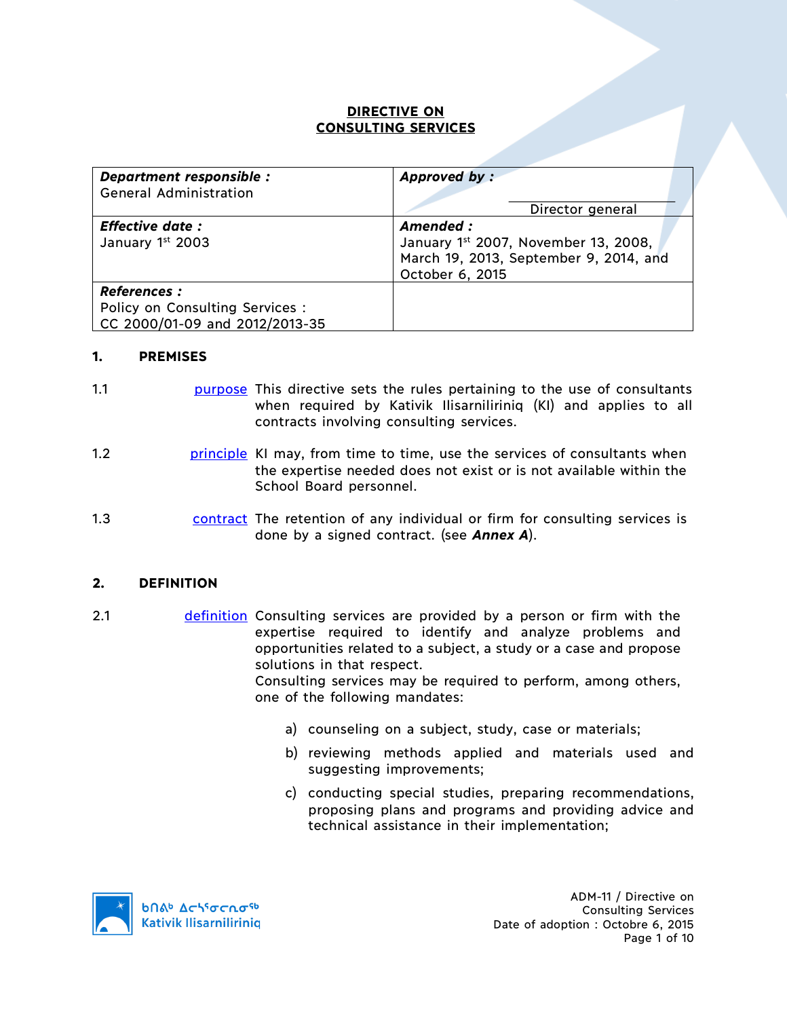## **DIRECTIVE ON CONSULTING SERVICES**

| Department responsible :        | Approved by:                           |  |
|---------------------------------|----------------------------------------|--|
| <b>General Administration</b>   |                                        |  |
|                                 | Director general                       |  |
| <b>Effective date:</b>          | Amended :                              |  |
| January 1st 2003                | January 1st 2007, November 13, 2008,   |  |
|                                 | March 19, 2013, September 9, 2014, and |  |
|                                 | October 6, 2015                        |  |
| <b>References :</b>             |                                        |  |
| Policy on Consulting Services : |                                        |  |
| CC 2000/01-09 and 2012/2013-35  |                                        |  |

### **1. PREMISES**

- 1.1 **purpose** This directive sets the rules pertaining to the use of consultants when required by Kativik Ilisarniliriniq (KI) and applies to all contracts involving consulting services.
- 1.2 **principle KI may, from time to time, use the services of consultants when** the expertise needed does not exist or is not available within the School Board personnel.
- 1.3 contract The retention of any individual or firm for consulting services is done by a signed contract. (see *Annex A*).

#### **2. DEFINITION**

- 2.1 definition Consulting services are provided by a person or firm with the expertise required to identify and analyze problems and opportunities related to a subject, a study or a case and propose solutions in that respect. Consulting services may be required to perform, among others, one of the following mandates:
	- a) counseling on a subject, study, case or materials;
	- b) reviewing methods applied and materials used and suggesting improvements;
	- c) conducting special studies, preparing recommendations, proposing plans and programs and providing advice and technical assistance in their implementation;



ADM-11 / Directive on Consulting Services Date of adoption : Octobre 6, 2015 Page 1 of 10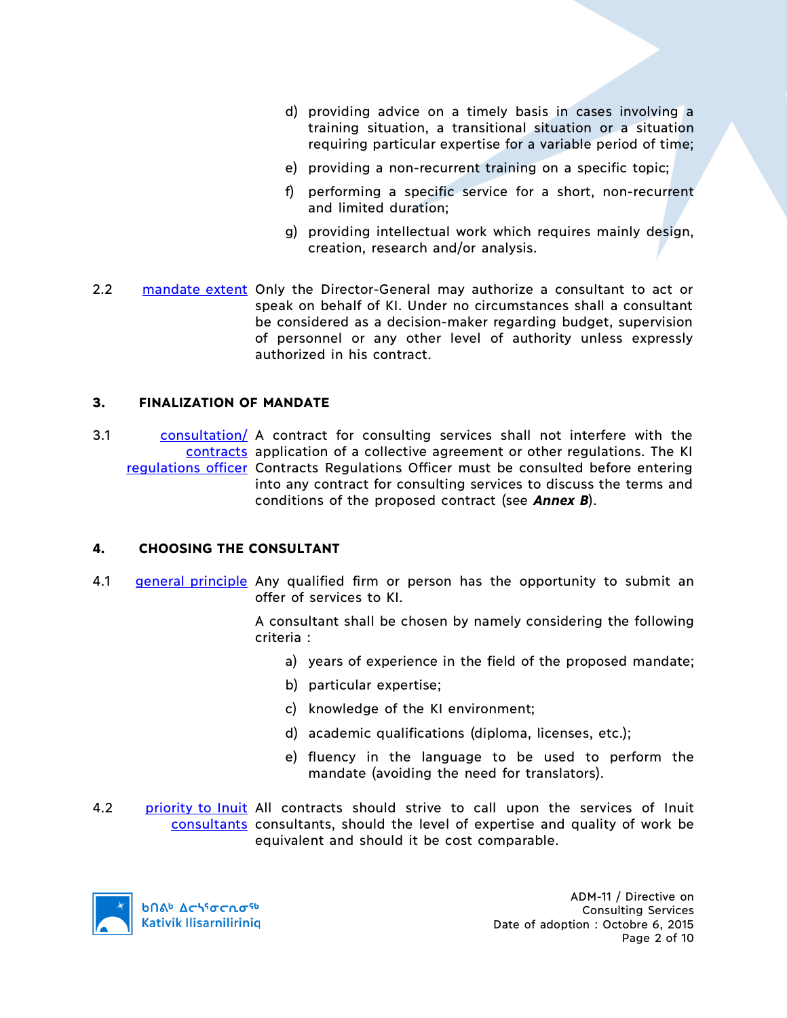- d) providing advice on a timely basis in cases involving a training situation, a transitional situation or a situation requiring particular expertise for a variable period of time;
- e) providing a non-recurrent training on a specific topic;
- f) performing a specific service for a short, non-recurrent and limited duration;
- g) providing intellectual work which requires mainly design, creation, research and/or analysis.
- 2.2 mandate extent Only the Director-General may authorize a consultant to act or speak on behalf of KI. Under no circumstances shall a consultant be considered as a decision-maker regarding budget, supervision of personnel or any other level of authority unless expressly authorized in his contract.

## **3. FINALIZATION OF MANDATE**

3.1 consultation/ A contract for consulting services shall not interfere with the contracts application of a collective agreement or other regulations. The KI regulations officer Contracts Regulations Officer must be consulted before entering into any contract for consulting services to discuss the terms and conditions of the proposed contract (see *Annex B*).

## **4. CHOOSING THE CONSULTANT**

4.1 general principle Any qualified firm or person has the opportunity to submit an offer of services to KI.

> A consultant shall be chosen by namely considering the following criteria :

- a) years of experience in the field of the proposed mandate;
- b) particular expertise;
- c) knowledge of the KI environment;
- d) academic qualifications (diploma, licenses, etc.);
- e) fluency in the language to be used to perform the mandate (avoiding the need for translators).
- 4.2 priority to Inuit All contracts should strive to call upon the services of Inuit consultants consultants, should the level of expertise and quality of work be equivalent and should it be cost comparable.

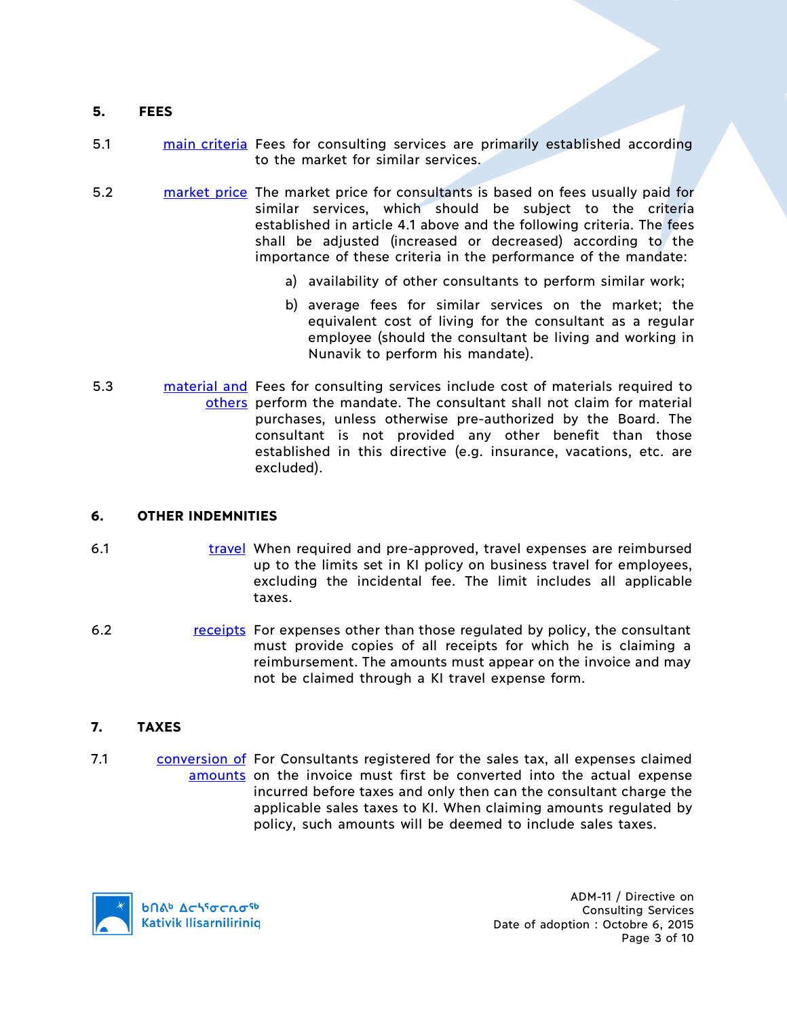### **5. FEES**

- 5.1 main criteria Fees for consulting services are primarily established according to the market for similar services.
- 5.2 market price The market price for consultants is based on fees usually paid for similar services, which should be subject to the criteria established in article 4.1 above and the following criteria. The fees shall be adjusted (increased or decreased) according to the importance of these criteria in the performance of the mandate:
	- a) availability of other consultants to perform similar work;
	- b) average fees for similar services on the market; the equivalent cost of living for the consultant as a regular employee (should the consultant be living and working in Nunavik to perform his mandate).
- 5.3 **material and Fees for consulting services include cost of materials required to** others perform the mandate. The consultant shall not claim for material purchases, unless otherwise pre-authorized by the Board. The consultant is not provided any other benefit than those established in this directive (e.g. insurance, vacations, etc. are excluded).

## **6. OTHER INDEMNITIES**

- 6.1 travel When required and pre-approved, travel expenses are reimbursed up to the limits set in KI policy on business travel for employees, excluding the incidental fee. The limit includes all applicable taxes.
- 6.2 receipts For expenses other than those regulated by policy, the consultant must provide copies of all receipts for which he is claiming a reimbursement. The amounts must appear on the invoice and may not be claimed through a KI travel expense form.

#### **7. TAXES**

7.1 conversion of For Consultants registered for the sales tax, all expenses claimed amounts on the invoice must first be converted into the actual expense incurred before taxes and only then can the consultant charge the applicable sales taxes to KI. When claiming amounts regulated by policy, such amounts will be deemed to include sales taxes.

**b**Πል<sup>b</sup> Δςιγσς ησ<sup>ς 6</sup> **Kativik Ilisarnilirinig**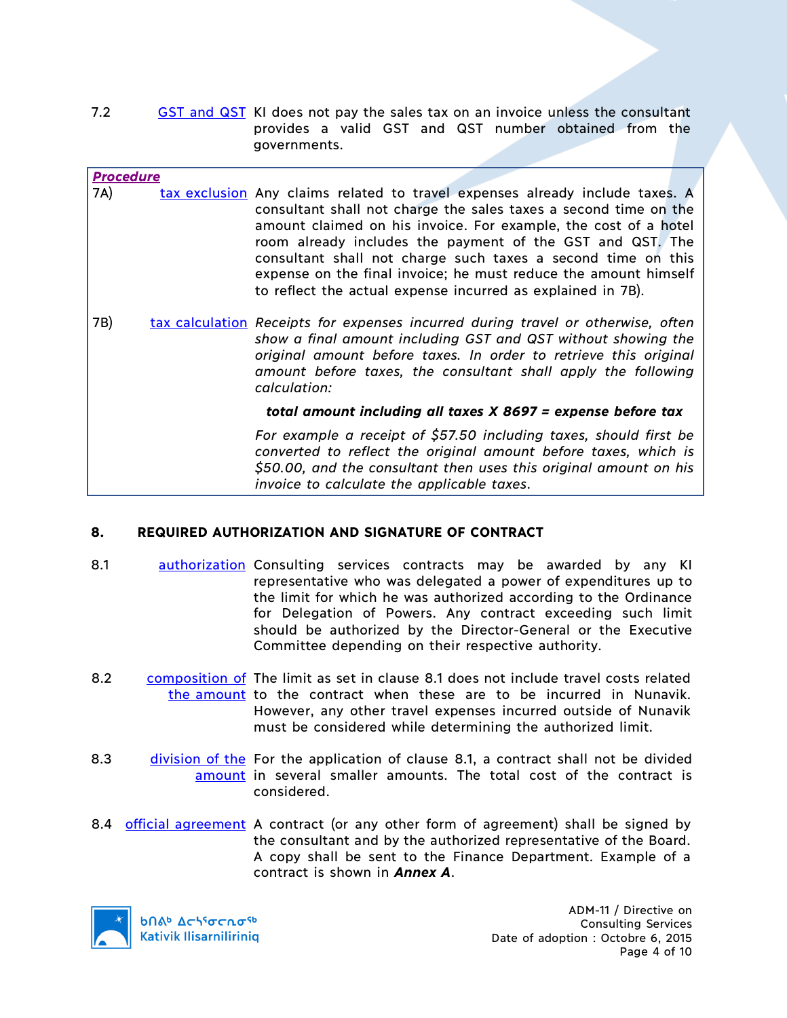7.2 GST and QST KI does not pay the sales tax on an invoice unless the consultant provides a valid GST and QST number obtained from the governments.

### *Procedure*

- 7A) tax exclusion Any claims related to travel expenses already include taxes. A consultant shall not charge the sales taxes a second time on the amount claimed on his invoice. For example, the cost of a hotel room already includes the payment of the GST and QST. The consultant shall not charge such taxes a second time on this expense on the final invoice; he must reduce the amount himself to reflect the actual expense incurred as explained in 7B)*.*
- 7B) tax calculation *Receipts for expenses incurred during travel or otherwise, often show a final amount including GST and QST without showing the original amount before taxes. In order to retrieve this original amount before taxes, the consultant shall apply the following calculation:*

*total amount including all taxes X 8697 = expense before tax*

*For example a receipt of \$57.50 including taxes, should first be converted to reflect the original amount before taxes, which is \$50.00, and the consultant then uses this original amount on his invoice to calculate the applicable taxes*.

## **8. REQUIRED AUTHORIZATION AND SIGNATURE OF CONTRACT**

- 8.1 authorization Consulting services contracts may be awarded by any KI representative who was delegated a power of expenditures up to the limit for which he was authorized according to the Ordinance for Delegation of Powers. Any contract exceeding such limit should be authorized by the Director-General or the Executive Committee depending on their respective authority.
- 8.2 composition of The limit as set in clause 8.1 does not include travel costs related the amount to the contract when these are to be incurred in Nunavik. However, any other travel expenses incurred outside of Nunavik must be considered while determining the authorized limit.
- 8.3 division of the For the application of clause 8.1, a contract shall not be divided amount in several smaller amounts. The total cost of the contract is considered.
- 8.4 official agreement A contract (or any other form of agreement) shall be signed by the consultant and by the authorized representative of the Board. A copy shall be sent to the Finance Department. Example of a contract is shown in *Annex A*.



**b** Achiocnosb **Kativik Ilisarniliriniq** 

ADM-11 / Directive on Consulting Services Date of adoption : Octobre 6, 2015 Page 4 of 10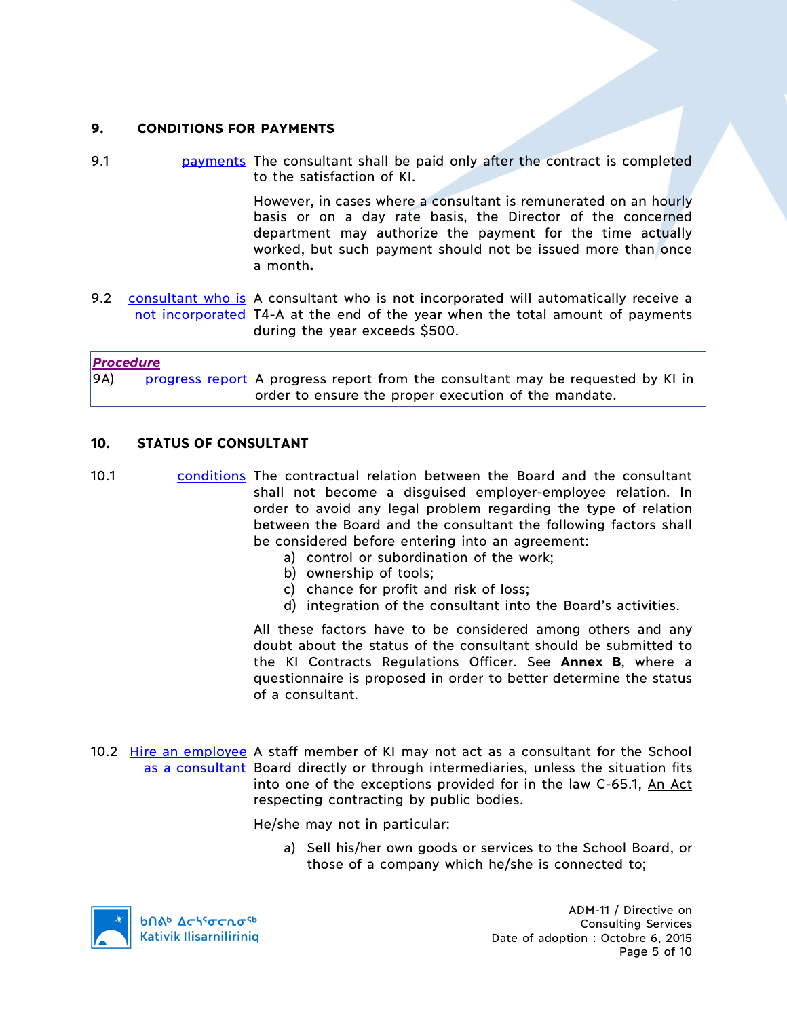## **9. CONDITIONS FOR PAYMENTS**

9.1 **payments** The consultant shall be paid only after the contract is completed to the satisfaction of KI.

> However, in cases where a consultant is remunerated on an hourly basis or on a day rate basis, the Director of the concerned department may authorize the payment for the time actually worked, but such payment should not be issued more than once a month**.**

9.2 consultant who is A consultant who is not incorporated will automatically receive a not incorporated T4-A at the end of the year when the total amount of payments during the year exceeds \$500.

*Procedure* 9A) progress report A progress report from the consultant may be requested by KI in order to ensure the proper execution of the mandate.

#### **10. STATUS OF CONSULTANT**

- 10.1 conditions The contractual relation between the Board and the consultant shall not become a disguised employer-employee relation. In order to avoid any legal problem regarding the type of relation between the Board and the consultant the following factors shall be considered before entering into an agreement:
	- a) control or subordination of the work;
	- b) ownership of tools;
	- c) chance for profit and risk of loss;
	- d) integration of the consultant into the Board's activities.

All these factors have to be considered among others and any doubt about the status of the consultant should be submitted to the KI Contracts Regulations Officer. See **Annex B**, where a questionnaire is proposed in order to better determine the status of a consultant.

10.2 Hire an employee A staff member of KI may not act as a consultant for the School as a consultant Board directly or through intermediaries, unless the situation fits into one of the exceptions provided for in the law C-65.1, An Act respecting contracting by public bodies.

He/she may not in particular:

a) Sell his/her own goods or services to the School Board, or those of a company which he/she is connected to;



ADM-11 / Directive on Consulting Services Date of adoption : Octobre 6, 2015 Page 5 of 10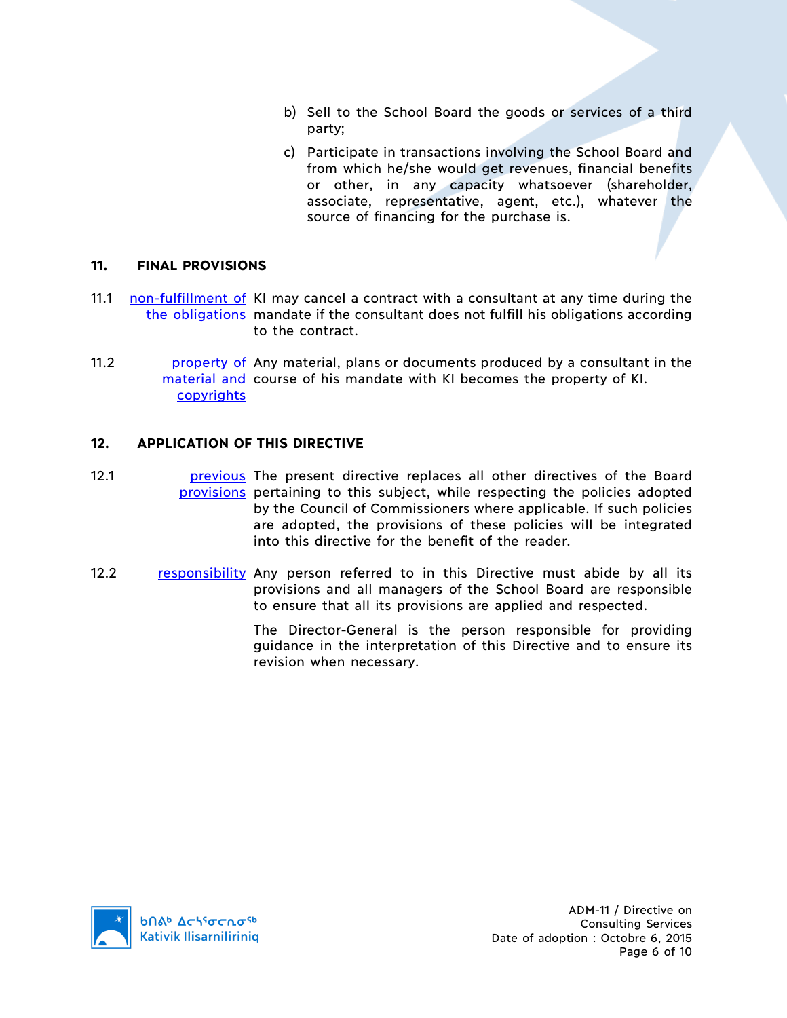- b) Sell to the School Board the goods or services of a third party;
- c) Participate in transactions involving the School Board and from which he/she would get revenues, financial benefits or other, in any capacity whatsoever (shareholder, associate, representative, agent, etc.), whatever the source of financing for the purchase is.

### **11. FINAL PROVISIONS**

- 11.1 **non-fulfillment of KI may cancel a contract with a consultant at any time during the** the obligations mandate if the consultant does not fulfill his obligations according to the contract.
- 11.2 **property of** Any material, plans or documents produced by a consultant in the material and course of his mandate with KI becomes the property of KI. copyrights

#### **12. APPLICATION OF THIS DIRECTIVE**

- 12.1 **previous** The present directive replaces all other directives of the Board provisions pertaining to this subject, while respecting the policies adopted by the Council of Commissioners where applicable. If such policies are adopted, the provisions of these policies will be integrated into this directive for the benefit of the reader.
- 12.2 responsibility Any person referred to in this Directive must abide by all its provisions and all managers of the School Board are responsible to ensure that all its provisions are applied and respected.

The Director-General is the person responsible for providing guidance in the interpretation of this Directive and to ensure its revision when necessary.



ADM-11 / Directive on Consulting Services Date of adoption : Octobre 6, 2015 Page 6 of 10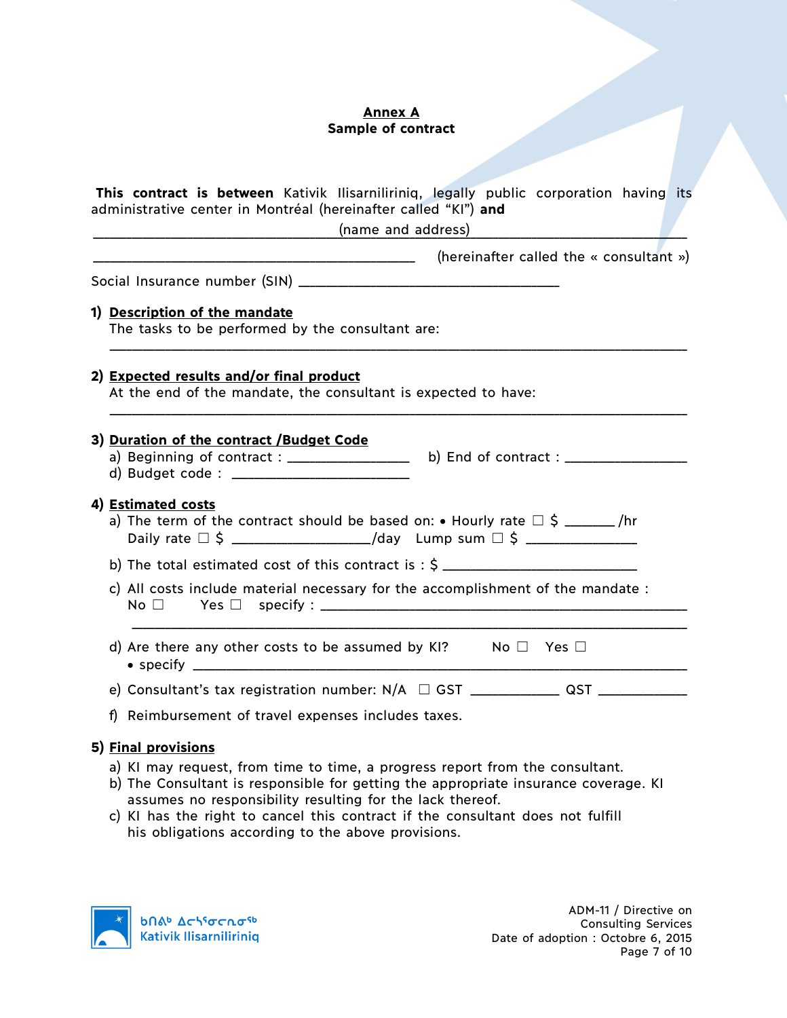# **Annex A Sample of contract**

| This contract is between Kativik Ilisarniliriniq, legally public corporation having its<br>administrative center in Montréal (hereinafter called "KI") and                                                                       |  |
|----------------------------------------------------------------------------------------------------------------------------------------------------------------------------------------------------------------------------------|--|
|                                                                                                                                                                                                                                  |  |
| (hereinafter called the « consultant »)                                                                                                                                                                                          |  |
|                                                                                                                                                                                                                                  |  |
| 1) Description of the mandate<br>The tasks to be performed by the consultant are:                                                                                                                                                |  |
| 2) Expected results and/or final product<br>At the end of the mandate, the consultant is expected to have:                                                                                                                       |  |
| 3) Duration of the contract /Budget Code                                                                                                                                                                                         |  |
| 4) Estimated costs<br>a) The term of the contract should be based on: $\bullet$ Hourly rate $\Box$ \$ ______ /hr<br>Daily rate $\Box$ \$ ______________________/day Lump sum $\Box$ \$ ____________________                      |  |
|                                                                                                                                                                                                                                  |  |
| c) All costs include material necessary for the accomplishment of the mandate :                                                                                                                                                  |  |
| d) Are there any other costs to be assumed by KI? No $\Box$ Yes $\Box$                                                                                                                                                           |  |
| e) Consultant's tax registration number: N/A □ GST _____________ QST ___________                                                                                                                                                 |  |
| f) Reimbursement of travel expenses includes taxes.                                                                                                                                                                              |  |
| 5) Final provisions                                                                                                                                                                                                              |  |
| a) KI may request, from time to time, a progress report from the consultant.<br>b) The Consultant is responsible for getting the appropriate insurance coverage. KI<br>assumes no responsibility resulting for the lack thereof. |  |

c) KI has the right to cancel this contract if the consultant does not fulfill his obligations according to the above provisions.

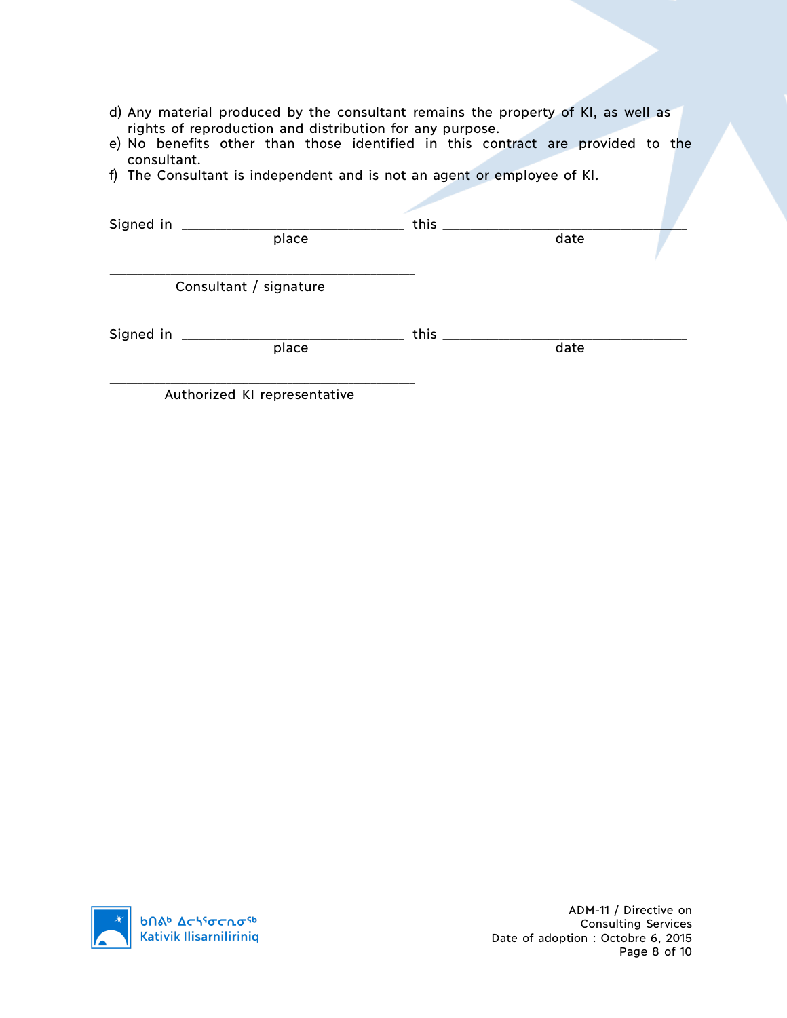- d) Any material produced by the consultant remains the property of KI, as well as rights of reproduction and distribution for any purpose.
- e) No benefits other than those identified in this contract are provided to the consultant.
- f) The Consultant is independent and is not an agent or employee of KI.

| Signed in ___________ |                              | this $\_\_$ |      |  |
|-----------------------|------------------------------|-------------|------|--|
|                       | place                        |             | date |  |
|                       | Consultant / signature       |             |      |  |
|                       | place                        | this _      | date |  |
|                       | Authorized KI representative |             |      |  |

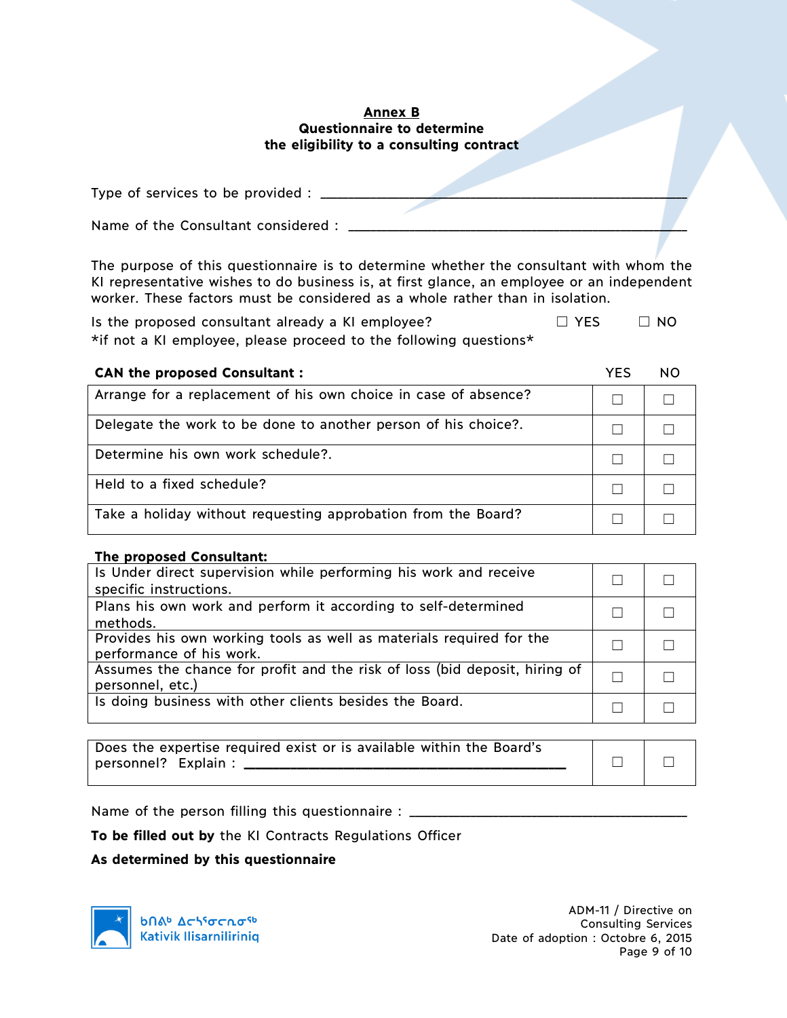### **Annex B Questionnaire to determine the eligibility to a consulting contract**

| Type of services to be provided :   |  |
|-------------------------------------|--|
|                                     |  |
| Name of the Consultant considered : |  |

The purpose of this questionnaire is to determine whether the consultant with whom the KI representative wishes to do business is, at first glance, an employee or an independent worker. These factors must be considered as a whole rather than in isolation.

Is the proposed consultant already a KI employee?  $\Box$  YES  $\Box$  NO \*if not a KI employee, please proceed to the following questions\*

| <b>CAN the proposed Consultant:</b>                             | YFS | NO |
|-----------------------------------------------------------------|-----|----|
| Arrange for a replacement of his own choice in case of absence? |     |    |
| Delegate the work to be done to another person of his choice?.  |     |    |
| Determine his own work schedule?.                               |     |    |
| Held to a fixed schedule?                                       |     |    |
| Take a holiday without requesting approbation from the Board?   |     |    |

#### **The proposed Consultant:**

| Is Under direct supervision while performing his work and receive          |  |
|----------------------------------------------------------------------------|--|
|                                                                            |  |
| specific instructions.                                                     |  |
| Plans his own work and perform it according to self-determined             |  |
| methods.                                                                   |  |
| Provides his own working tools as well as materials required for the       |  |
| performance of his work.                                                   |  |
| Assumes the chance for profit and the risk of loss (bid deposit, hiring of |  |
| personnel, etc.)                                                           |  |
| Is doing business with other clients besides the Board.                    |  |
|                                                                            |  |

| Does the expertise required exist or is available within the Board's |  |
|----------------------------------------------------------------------|--|
| personnel? Explain :                                                 |  |
|                                                                      |  |

Name of the person filling this questionnaire : \_\_\_\_\_\_\_\_\_\_\_\_\_\_\_\_\_\_\_\_\_\_\_\_\_\_\_\_\_\_\_\_

**To be filled out by** the KI Contracts Regulations Officer

#### **As determined by this questionnaire**